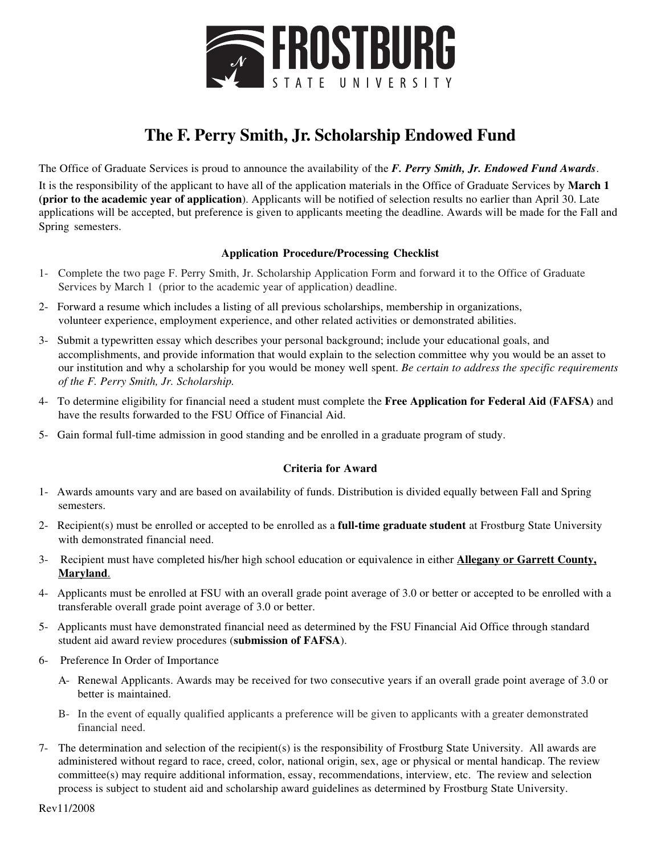

## **The F. Perry Smith, Jr. Scholarship Endowed Fund**

The Office of Graduate Services is proud to announce the availability of the *F. Perry Smith, Jr. Endowed Fund Awards*. It is the responsibility of the applicant to have all of the application materials in the Office of Graduate Services by **March 1 (prior to the academic year of application**). Applicants will be notified of selection results no earlier than April 30. Late applications will be accepted, but preference is given to applicants meeting the deadline. Awards will be made for the Fall and Spring semesters.

### **Application Procedure/Processing Checklist**

- 1- Complete the two page F. Perry Smith, Jr. Scholarship Application Form and forward it to the Office of Graduate Services by March 1 (prior to the academic year of application) deadline.
- 2- Forward a resume which includes a listing of all previous scholarships, membership in organizations, volunteer experience, employment experience, and other related activities or demonstrated abilities.
- 3- Submit a typewritten essay which describes your personal background; include your educational goals, and accomplishments, and provide information that would explain to the selection committee why you would be an asset to our institution and why a scholarship for you would be money well spent. *Be certain to address the specific requirements of the F. Perry Smith, Jr. Scholarship.*
- 4- To determine eligibility for financial need a student must complete the **Free Application for Federal Aid (FAFSA)** and have the results forwarded to the FSU Office of Financial Aid.
- 5- Gain formal full-time admission in good standing and be enrolled in a graduate program of study.

### **Criteria for Award**

- 1- Awards amounts vary and are based on availability of funds. Distribution is divided equally between Fall and Spring semesters.
- 2- Recipient(s) must be enrolled or accepted to be enrolled as a **full-time graduate student** at Frostburg State University with demonstrated financial need.
- 3- Recipient must have completed his/her high school education or equivalence in either **Allegany or Garrett County, Maryland**.
- 4- Applicants must be enrolled at FSU with an overall grade point average of 3.0 or better or accepted to be enrolled with a transferable overall grade point average of 3.0 or better.
- 5- Applicants must have demonstrated financial need as determined by the FSU Financial Aid Office through standard student aid award review procedures (**submission of FAFSA**).
- 6- Preference In Order of Importance
	- A- Renewal Applicants. Awards may be received for two consecutive years if an overall grade point average of 3.0 or better is maintained.
	- B- In the event of equally qualified applicants a preference will be given to applicants with a greater demonstrated financial need.
- 7- The determination and selection of the recipient(s) is the responsibility of Frostburg State University. All awards are administered without regard to race, creed, color, national origin, sex, age or physical or mental handicap. The review committee(s) may require additional information, essay, recommendations, interview, etc. The review and selection process is subject to student aid and scholarship award guidelines as determined by Frostburg State University.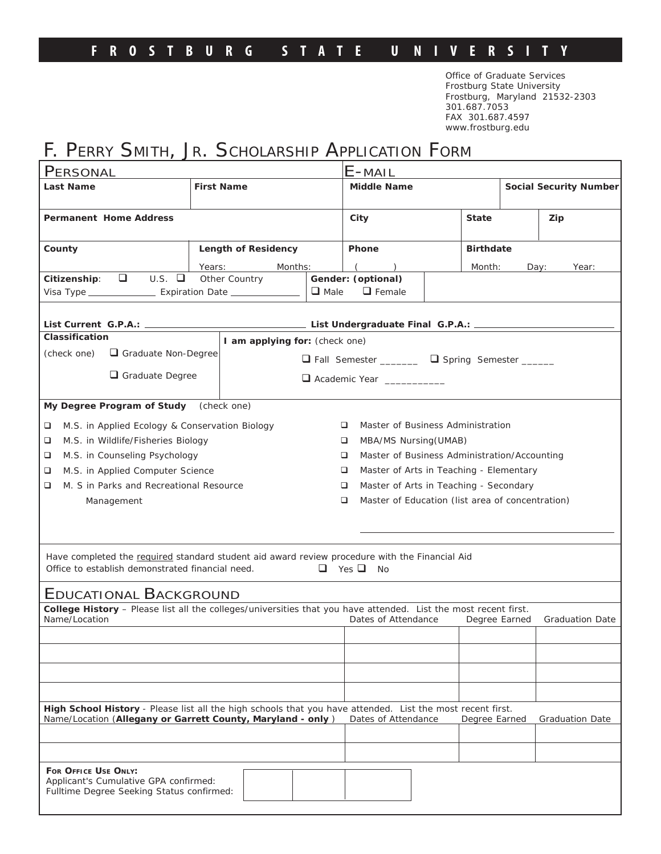### **FROSTBURG STATE U NIVERSIT Y**

Office of Graduate Services Frostburg State University Frostburg, Maryland 21532-2303 301.687.7053 FAX 301.687.4597 www.frostburg.edu

# F. PERRY SMITH, JR. SCHOLARSHIP APPLICATION FORM

| PERSONAL                                                                                                                                                                                                                                    |                                              |  | E-MAIL                                                |  |                               |      |       |  |
|---------------------------------------------------------------------------------------------------------------------------------------------------------------------------------------------------------------------------------------------|----------------------------------------------|--|-------------------------------------------------------|--|-------------------------------|------|-------|--|
| Last Name                                                                                                                                                                                                                                   | <b>First Name</b>                            |  | <b>Middle Name</b>                                    |  | <b>Social Security Number</b> |      |       |  |
|                                                                                                                                                                                                                                             |                                              |  |                                                       |  |                               |      |       |  |
| Permanent Home Address                                                                                                                                                                                                                      |                                              |  | <b>State</b><br>City                                  |  |                               |      | Zip   |  |
| County                                                                                                                                                                                                                                      | Length of Residency                          |  | Phone                                                 |  | <b>Birthdate</b>              |      |       |  |
|                                                                                                                                                                                                                                             | Years:<br>Months:                            |  |                                                       |  | Month:                        | Day: | Year: |  |
| $\Box$<br>U.S.<br>Other Country<br>Citizenship:<br>$\Box$ Male                                                                                                                                                                              |                                              |  | Gender: (optional)<br>$\Box$ Female                   |  |                               |      |       |  |
|                                                                                                                                                                                                                                             |                                              |  |                                                       |  |                               |      |       |  |
| Classification                                                                                                                                                                                                                              | I am applying for: (check one)               |  |                                                       |  |                               |      |       |  |
| ( <i>check one</i> ) $\Box$ Graduate Non-Degree                                                                                                                                                                                             |                                              |  | □ Fall Semester ________ □ Spring Semester _____      |  |                               |      |       |  |
| $\Box$ Graduate Degree                                                                                                                                                                                                                      |                                              |  | Academic Year __________                              |  |                               |      |       |  |
|                                                                                                                                                                                                                                             |                                              |  |                                                       |  |                               |      |       |  |
| My Degree Program of Study (check one)                                                                                                                                                                                                      |                                              |  |                                                       |  |                               |      |       |  |
| M.S. in Applied Ecology & Conservation Biology<br>❏                                                                                                                                                                                         |                                              |  | Master of Business Administration<br>□                |  |                               |      |       |  |
| ❏<br>M.S. in Wildlife/Fisheries Biology                                                                                                                                                                                                     |                                              |  | MBA/MS Nursing (UMAB)<br>□                            |  |                               |      |       |  |
| M.S. in Counseling Psychology<br>□                                                                                                                                                                                                          |                                              |  | Master of Business Administration/Accounting<br>□     |  |                               |      |       |  |
| M.S. in Applied Computer Science<br>❏                                                                                                                                                                                                       | Master of Arts in Teaching - Elementary<br>❏ |  |                                                       |  |                               |      |       |  |
| M. S in Parks and Recreational Resource<br>❏                                                                                                                                                                                                |                                              |  | Master of Arts in Teaching - Secondary<br>▫           |  |                               |      |       |  |
| Management                                                                                                                                                                                                                                  |                                              |  | Master of Education (list area of concentration)<br>❏ |  |                               |      |       |  |
|                                                                                                                                                                                                                                             |                                              |  |                                                       |  |                               |      |       |  |
|                                                                                                                                                                                                                                             |                                              |  |                                                       |  |                               |      |       |  |
|                                                                                                                                                                                                                                             |                                              |  |                                                       |  |                               |      |       |  |
| Have completed the required standard student aid award review procedure with the Financial Aid<br>$\Box$ Yes $\Box$ No<br>Office to establish demonstrated financial need.                                                                  |                                              |  |                                                       |  |                               |      |       |  |
|                                                                                                                                                                                                                                             |                                              |  |                                                       |  |                               |      |       |  |
| EDUCATIONAL BACKGROUND                                                                                                                                                                                                                      |                                              |  |                                                       |  |                               |      |       |  |
| College History - Please list all the colleges/universities that you have attended. List the most recent first.<br>Name/Location<br>Dates of Attendance<br>Degree Earned<br><b>Graduation Date</b>                                          |                                              |  |                                                       |  |                               |      |       |  |
|                                                                                                                                                                                                                                             |                                              |  |                                                       |  |                               |      |       |  |
|                                                                                                                                                                                                                                             |                                              |  |                                                       |  |                               |      |       |  |
|                                                                                                                                                                                                                                             |                                              |  |                                                       |  |                               |      |       |  |
|                                                                                                                                                                                                                                             |                                              |  |                                                       |  |                               |      |       |  |
| High School History - Please list all the high schools that you have attended. List the most recent first.<br>Name/Location (Allegany or Garrett County, Maryland - only)<br>Dates of Attendance<br>Degree Earned<br><b>Graduation Date</b> |                                              |  |                                                       |  |                               |      |       |  |
|                                                                                                                                                                                                                                             |                                              |  |                                                       |  |                               |      |       |  |
|                                                                                                                                                                                                                                             |                                              |  |                                                       |  |                               |      |       |  |
| FOR OFFICE USE ONLY:<br>Applicant's Cumulative GPA confirmed:<br>Fulltime Degree Seeking Status confirmed:                                                                                                                                  |                                              |  |                                                       |  |                               |      |       |  |